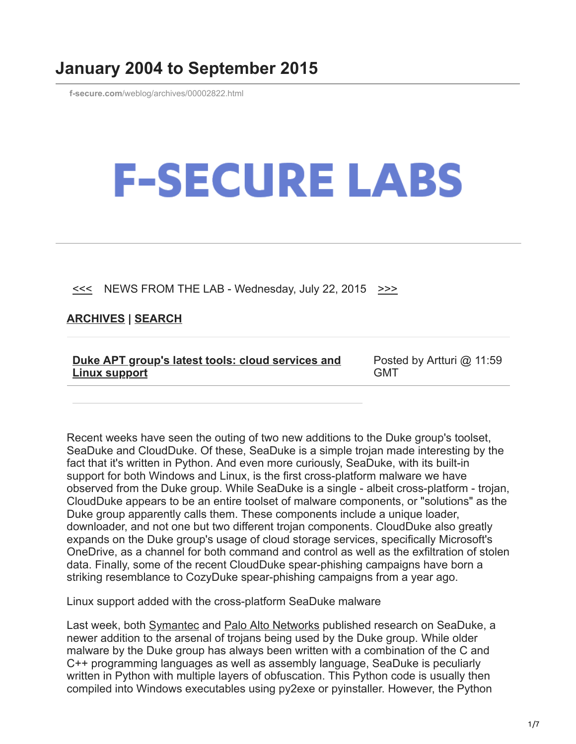## **January 2004 to September 2015**

**f-secure.com**[/weblog/archives/00002822.html](https://www.f-secure.com/weblog/archives/00002822.html)

## **F-SECURE LABS**

 $\leq$  NEWS FROM THE LAB - Wednesday, July 22, 2015  $\geq$ 

## **[ARCHIVES](https://www.f-secure.com/weblog/archives/) | [SEARCH](https://www.bing.com/search?q=site:f-secure.com/weblog)**

| Duke APT group's latest tools: cloud services and | Posted by Artturi @ 11:59 |
|---------------------------------------------------|---------------------------|
| <b>Linux support</b>                              | GMT                       |

Recent weeks have seen the outing of two new additions to the Duke group's toolset, SeaDuke and CloudDuke. Of these, SeaDuke is a simple trojan made interesting by the fact that it's written in Python. And even more curiously, SeaDuke, with its built-in support for both Windows and Linux, is the first cross-platform malware we have observed from the Duke group. While SeaDuke is a single - albeit cross-platform - trojan, CloudDuke appears to be an entire toolset of malware components, or "solutions" as the Duke group apparently calls them. These components include a unique loader, downloader, and not one but two different trojan components. CloudDuke also greatly expands on the Duke group's usage of cloud storage services, specifically Microsoft's OneDrive, as a channel for both command and control as well as the exfiltration of stolen data. Finally, some of the recent CloudDuke spear-phishing campaigns have born a striking resemblance to CozyDuke spear-phishing campaigns from a year ago.

Linux support added with the cross-platform SeaDuke malware

Last week, both [Symantec](http://www.symantec.com/connect/blogs/forkmeiamfamous-seaduke-latest-weapon-duke-armory) and [Palo Alto Networks](http://researchcenter.paloaltonetworks.com/2015/07/unit-42-technical-analysis-seaduke/) published research on SeaDuke, a newer addition to the arsenal of trojans being used by the Duke group. While older malware by the Duke group has always been written with a combination of the C and C++ programming languages as well as assembly language, SeaDuke is peculiarly written in Python with multiple layers of obfuscation. This Python code is usually then compiled into Windows executables using py2exe or pyinstaller. However, the Python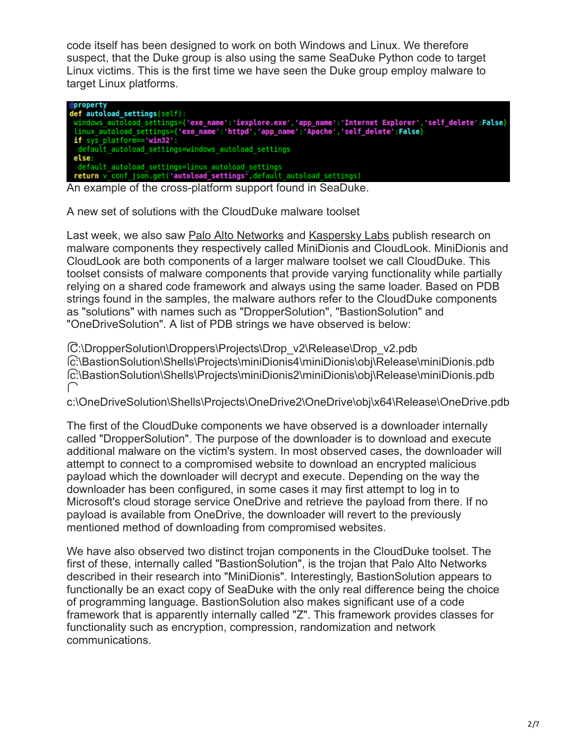code itself has been designed to work on both Windows and Linux. We therefore suspect, that the Duke group is also using the same SeaDuke Python code to target Linux victims. This is the first time we have seen the Duke group employ malware to target Linux platforms.

| <b>@property</b>                                                                                         |
|----------------------------------------------------------------------------------------------------------|
| def autoload settings(self):                                                                             |
| windows autoload settings={'exe name':'iexplore.exe','app name':'Internet Explorer','self delete':False} |
| linux autoload settings={'exe name':'httpd','app name':'Apache','self delete':False}                     |
| if sys platform=='win32':                                                                                |
| default autoload settings=windows autoload settings                                                      |
| else:                                                                                                    |
| default autoload settings=linux autoload settings                                                        |
| return v conf json.get('autoload settings', default autoload settings)                                   |
|                                                                                                          |

An example of the cross-platform support found in SeaDuke.

A new set of solutions with the CloudDuke malware toolset

Last week, we also saw [Palo Alto Networks](http://researchcenter.paloaltonetworks.com/2015/07/tracking-minidionis-cozycars-new-ride-is-related-to-seaduke/) and [Kaspersky Labs](https://securelist.com/blog/research/71443/minidionis-one-more-apt-with-a-usage-of-cloud-drives/) publish research on malware components they respectively called MiniDionis and CloudLook. MiniDionis and CloudLook are both components of a larger malware toolset we call CloudDuke. This toolset consists of malware components that provide varying functionality while partially relying on a shared code framework and always using the same loader. Based on PDB strings found in the samples, the malware authors refer to the CloudDuke components as "solutions" with names such as "DropperSolution", "BastionSolution" and "OneDriveSolution". A list of PDB strings we have observed is below:

�C:\DropperSolution\Droppers\Projects\Drop\_v2\Release\Drop\_v2.pdb �c:\BastionSolution\Shells\Projects\miniDionis4\miniDionis\obj\Release\miniDionis.pdb �c:\BastionSolution\Shells\Projects\miniDionis2\miniDionis\obj\Release\miniDionis.pdb  $\subset$ 

c:\OneDriveSolution\Shells\Projects\OneDrive2\OneDrive\obj\x64\Release\OneDrive.pdb

The first of the CloudDuke components we have observed is a downloader internally called "DropperSolution". The purpose of the downloader is to download and execute additional malware on the victim's system. In most observed cases, the downloader will attempt to connect to a compromised website to download an encrypted malicious payload which the downloader will decrypt and execute. Depending on the way the downloader has been configured, in some cases it may first attempt to log in to Microsoft's cloud storage service OneDrive and retrieve the payload from there. If no payload is available from OneDrive, the downloader will revert to the previously mentioned method of downloading from compromised websites.

We have also observed two distinct trojan components in the CloudDuke toolset. The first of these, internally called "BastionSolution", is the trojan that Palo Alto Networks described in their research into "MiniDionis". Interestingly, BastionSolution appears to functionally be an exact copy of SeaDuke with the only real difference being the choice of programming language. BastionSolution also makes significant use of a code framework that is apparently internally called "Z". This framework provides classes for functionality such as encryption, compression, randomization and network communications.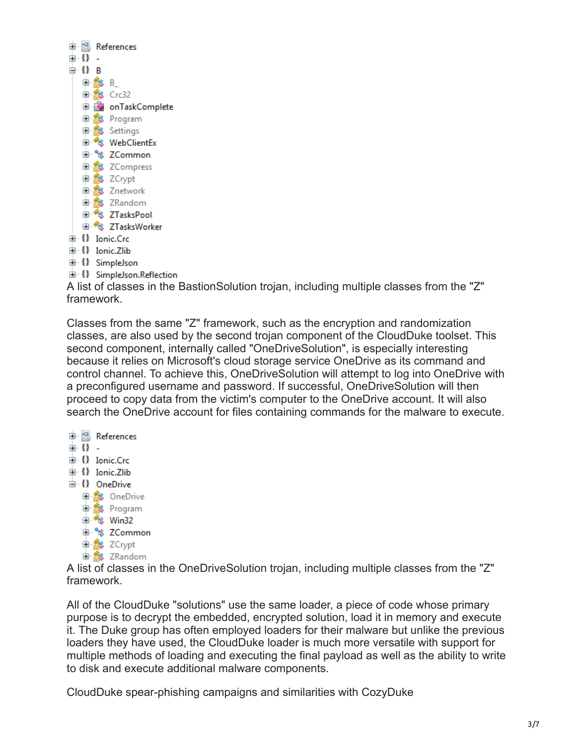|       |          | References                   |
|-------|----------|------------------------------|
| ⊕{}-  |          |                              |
| ⊜-{}B |          |                              |
|       | de SS B_ |                              |
|       |          | GI-28 Crc32                  |
|       |          | <b>D-EX</b> onTaskComplete   |
|       |          | 中 Signam                     |
|       |          | <b>Company</b> Settings      |
|       |          | <b>। * % WebClientEx</b>     |
|       |          | ं <sup>⊕- ९</sup> \$ ZCommon |
|       |          | <b>Compress</b>              |
|       |          | <b>D</b> <sup>2</sup> ZCrypt |
|       |          | <b>白念</b> Znetwork           |
|       |          | d-8 ZRandom                  |
|       |          | <b>Compass 2TasksPool</b>    |
|       |          | <b>E-8 ZTasksWorker</b>      |
|       |          | 由 {} Ionic.Crc               |
|       |          | 由 {} Ionic.Zlib              |
|       |          | <sup>in</sup> f SimpleJson   |

由 {} SimpleJson.Reflection

A list of classes in the BastionSolution trojan, including multiple classes from the "Z" framework.

Classes from the same "Z" framework, such as the encryption and randomization classes, are also used by the second trojan component of the CloudDuke toolset. This second component, internally called "OneDriveSolution", is especially interesting because it relies on Microsoft's cloud storage service OneDrive as its command and control channel. To achieve this, OneDriveSolution will attempt to log into OneDrive with a preconfigured username and password. If successful, OneDriveSolution will then proceed to copy data from the victim's computer to the OneDrive account. It will also search the OneDrive account for files containing commands for the malware to execute.

**E**-<sup>+0</sup> References 由 {} - $\bigoplus$  {} Ionic.Crc +{} Ionic.Zlib <sup>1</sup>{} OneDrive **Conduction Community** Program the <sup>e</sup>s Win32 **E** % ZCommon **Change 2Crypt El-Sts** ZRandom

A list of classes in the OneDriveSolution trojan, including multiple classes from the "Z" framework.

All of the CloudDuke "solutions" use the same loader, a piece of code whose primary purpose is to decrypt the embedded, encrypted solution, load it in memory and execute it. The Duke group has often employed loaders for their malware but unlike the previous loaders they have used, the CloudDuke loader is much more versatile with support for multiple methods of loading and executing the final payload as well as the ability to write to disk and execute additional malware components.

CloudDuke spear-phishing campaigns and similarities with CozyDuke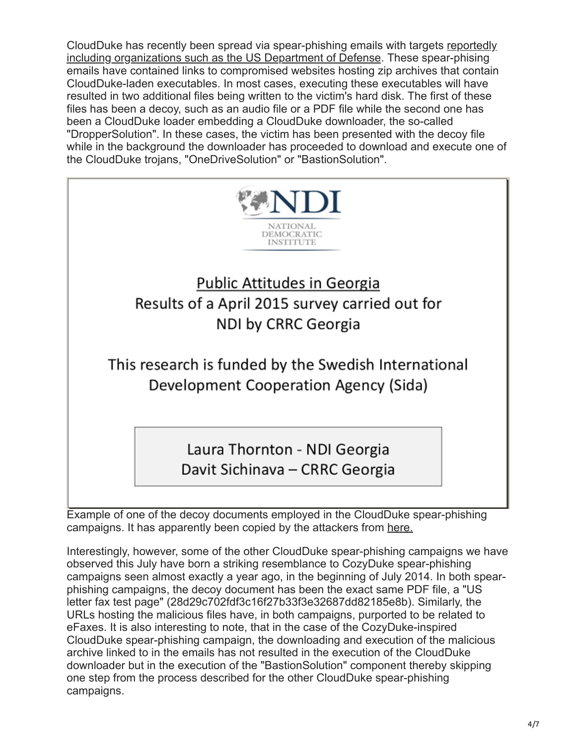[CloudDuke has recently been spread via spear-phishing emails with targets reportedly](http://www.thedailybeast.com/articles/2015/07/18/russian-hackers-target-the-pentagon.html) including organizations such as the US Department of Defense. These spear-phising emails have contained links to compromised websites hosting zip archives that contain CloudDuke-laden executables. In most cases, executing these executables will have resulted in two additional files being written to the victim's hard disk. The first of these files has been a decoy, such as an audio file or a PDF file while the second one has been a CloudDuke loader embedding a CloudDuke downloader, the so-called "DropperSolution". In these cases, the victim has been presented with the decoy file while in the background the downloader has proceeded to download and execute one of the CloudDuke trojans, "OneDriveSolution" or "BastionSolution".



Example of one of the decoy documents employed in the CloudDuke spear-phishing campaigns. It has apparently been copied by the attackers from [here.](https://www.ndi.org/files/NDI%20Georgia_April%202015%20Poll_Public%20Issues_ENG_VF_0.pdf)

Interestingly, however, some of the other CloudDuke spear-phishing campaigns we have observed this July have born a striking resemblance to CozyDuke spear-phishing campaigns seen almost exactly a year ago, in the beginning of July 2014. In both spearphishing campaigns, the decoy document has been the exact same PDF file, a "US letter fax test page" (28d29c702fdf3c16f27b33f3e32687dd82185e8b). Similarly, the URLs hosting the malicious files have, in both campaigns, purported to be related to eFaxes. It is also interesting to note, that in the case of the CozyDuke-inspired CloudDuke spear-phishing campaign, the downloading and execution of the malicious archive linked to in the emails has not resulted in the execution of the CloudDuke downloader but in the execution of the "BastionSolution" component thereby skipping one step from the process described for the other CloudDuke spear-phishing campaigns.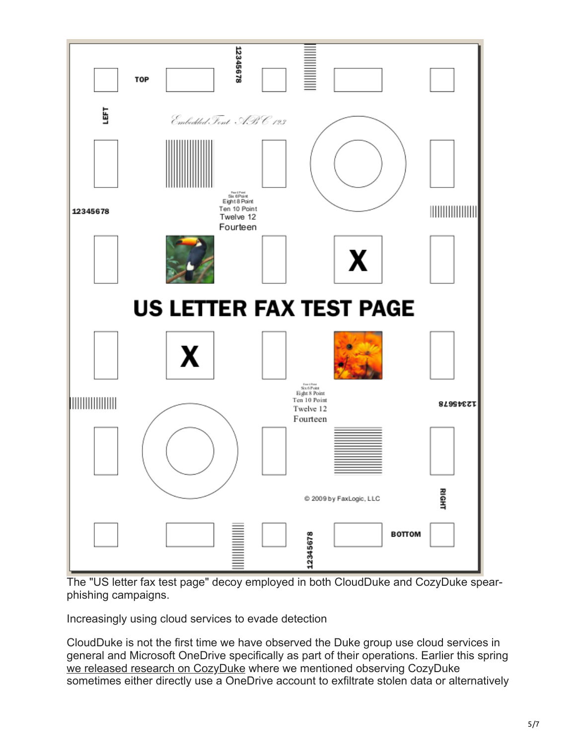

The "US letter fax test page" decoy employed in both CloudDuke and CozyDuke spearphishing campaigns.

Increasingly using cloud services to evade detection

CloudDuke is not the first time we have observed the Duke group use cloud services in general and Microsoft OneDrive specifically as part of their operations. Earlier this spring [we released research on CozyDuke](https://www.f-secure.com/documents/996508/1030745/CozyDuke) where we mentioned observing CozyDuke sometimes either directly use a OneDrive account to exfiltrate stolen data or alternatively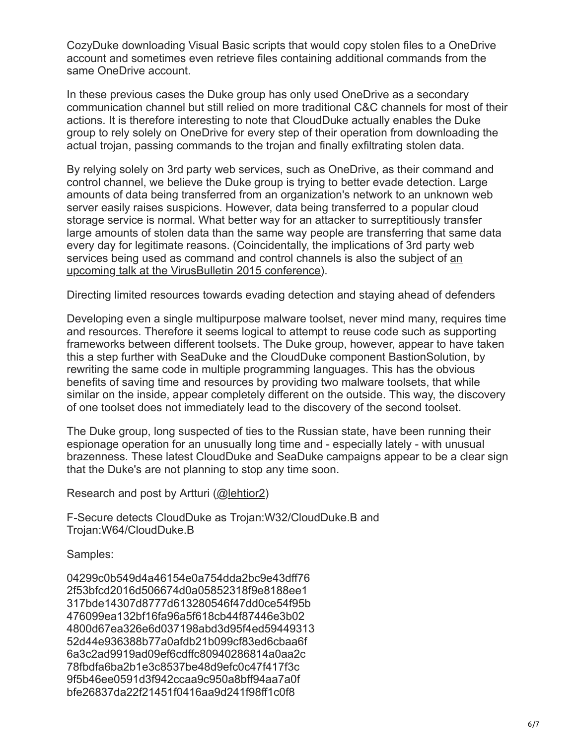CozyDuke downloading Visual Basic scripts that would copy stolen files to a OneDrive account and sometimes even retrieve files containing additional commands from the same OneDrive account.

In these previous cases the Duke group has only used OneDrive as a secondary communication channel but still relied on more traditional C&C channels for most of their actions. It is therefore interesting to note that CloudDuke actually enables the Duke group to rely solely on OneDrive for every step of their operation from downloading the actual trojan, passing commands to the trojan and finally exfiltrating stolen data.

By relying solely on 3rd party web services, such as OneDrive, as their command and control channel, we believe the Duke group is trying to better evade detection. Large amounts of data being transferred from an organization's network to an unknown web server easily raises suspicions. However, data being transferred to a popular cloud storage service is normal. What better way for an attacker to surreptitiously transfer large amounts of stolen data than the same way people are transferring that same data every day for legitimate reasons. (Coincidentally, the implications of 3rd party web [services being used as command and control channels is also the subject of an](https://www.virusbtn.com/conference/vb2015/abstracts/R-Lehtio.xml) upcoming talk at the VirusBulletin 2015 conference).

Directing limited resources towards evading detection and staying ahead of defenders

Developing even a single multipurpose malware toolset, never mind many, requires time and resources. Therefore it seems logical to attempt to reuse code such as supporting frameworks between different toolsets. The Duke group, however, appear to have taken this a step further with SeaDuke and the CloudDuke component BastionSolution, by rewriting the same code in multiple programming languages. This has the obvious benefits of saving time and resources by providing two malware toolsets, that while similar on the inside, appear completely different on the outside. This way, the discovery of one toolset does not immediately lead to the discovery of the second toolset.

The Duke group, long suspected of ties to the Russian state, have been running their espionage operation for an unusually long time and - especially lately - with unusual brazenness. These latest CloudDuke and SeaDuke campaigns appear to be a clear sign that the Duke's are not planning to stop any time soon.

Research and post by Artturi [\(@lehtior2\)](https://twitter.com/lehtior2)

F-Secure detects CloudDuke as Trojan:W32/CloudDuke.B and Trojan:W64/CloudDuke.B

Samples:

04299c0b549d4a46154e0a754dda2bc9e43dff76 2f53bfcd2016d506674d0a05852318f9e8188ee1 317bde14307d8777d613280546f47dd0ce54f95b 476099ea132bf16fa96a5f618cb44f87446e3b02 4800d67ea326e6d037198abd3d95f4ed59449313 52d44e936388b77a0afdb21b099cf83ed6cbaa6f 6a3c2ad9919ad09ef6cdffc80940286814a0aa2c 78fbdfa6ba2b1e3c8537be48d9efc0c47f417f3c 9f5b46ee0591d3f942ccaa9c950a8bff94aa7a0f bfe26837da22f21451f0416aa9d241f98ff1c0f8